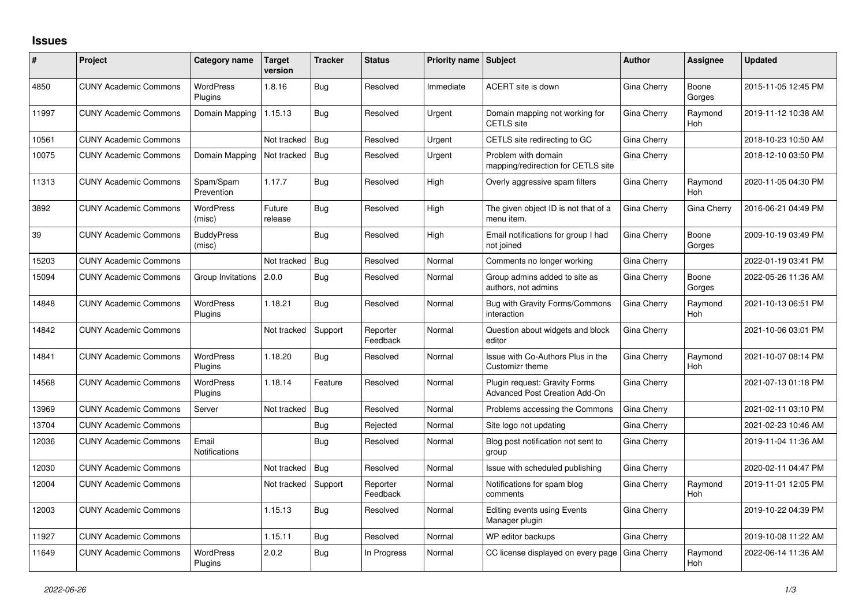## **Issues**

| #     | Project                      | Category name                 | <b>Target</b><br>version | <b>Tracker</b> | <b>Status</b>        | <b>Priority name Subject</b> |                                                                       | <b>Author</b> | Assignee              | <b>Updated</b>      |
|-------|------------------------------|-------------------------------|--------------------------|----------------|----------------------|------------------------------|-----------------------------------------------------------------------|---------------|-----------------------|---------------------|
| 4850  | <b>CUNY Academic Commons</b> | <b>WordPress</b><br>Plugins   | 1.8.16                   | Bug            | Resolved             | Immediate                    | ACERT site is down                                                    | Gina Cherry   | Boone<br>Gorges       | 2015-11-05 12:45 PM |
| 11997 | <b>CUNY Academic Commons</b> | Domain Mapping                | 1.15.13                  | Bug            | Resolved             | Urgent                       | Domain mapping not working for<br><b>CETLS</b> site                   | Gina Cherry   | Raymond<br><b>Hoh</b> | 2019-11-12 10:38 AM |
| 10561 | <b>CUNY Academic Commons</b> |                               | Not tracked              | Bug            | Resolved             | Urgent                       | CETLS site redirecting to GC                                          | Gina Cherry   |                       | 2018-10-23 10:50 AM |
| 10075 | <b>CUNY Academic Commons</b> | Domain Mapping                | Not tracked              | Bug            | Resolved             | Urgent                       | Problem with domain<br>mapping/redirection for CETLS site             | Gina Cherry   |                       | 2018-12-10 03:50 PM |
| 11313 | <b>CUNY Academic Commons</b> | Spam/Spam<br>Prevention       | 1.17.7                   | Bug            | Resolved             | High                         | Overly aggressive spam filters                                        | Gina Cherry   | Raymond<br>Hoh        | 2020-11-05 04:30 PM |
| 3892  | <b>CUNY Academic Commons</b> | <b>WordPress</b><br>(misc)    | Future<br>release        | Bug            | Resolved             | High                         | The given object ID is not that of a<br>menu item.                    | Gina Cherry   | Gina Cherry           | 2016-06-21 04:49 PM |
| 39    | <b>CUNY Academic Commons</b> | <b>BuddyPress</b><br>(misc)   |                          | Bug            | Resolved             | High                         | Email notifications for group I had<br>not joined                     | Gina Cherry   | Boone<br>Gorges       | 2009-10-19 03:49 PM |
| 15203 | <b>CUNY Academic Commons</b> |                               | Not tracked              | Bug            | Resolved             | Normal                       | Comments no longer working                                            | Gina Cherry   |                       | 2022-01-19 03:41 PM |
| 15094 | <b>CUNY Academic Commons</b> | Group Invitations             | 2.0.0                    | Bug            | Resolved             | Normal                       | Group admins added to site as<br>authors, not admins                  | Gina Cherry   | Boone<br>Gorges       | 2022-05-26 11:36 AM |
| 14848 | <b>CUNY Academic Commons</b> | <b>WordPress</b><br>Plugins   | 1.18.21                  | Bug            | Resolved             | Normal                       | Bug with Gravity Forms/Commons<br>interaction                         | Gina Cherry   | Raymond<br>Hoh        | 2021-10-13 06:51 PM |
| 14842 | <b>CUNY Academic Commons</b> |                               | Not tracked              | Support        | Reporter<br>Feedback | Normal                       | Question about widgets and block<br>editor                            | Gina Cherry   |                       | 2021-10-06 03:01 PM |
| 14841 | <b>CUNY Academic Commons</b> | <b>WordPress</b><br>Plugins   | 1.18.20                  | Bug            | Resolved             | Normal                       | Issue with Co-Authors Plus in the<br>Customizr theme                  | Gina Cherry   | Raymond<br><b>Hoh</b> | 2021-10-07 08:14 PM |
| 14568 | <b>CUNY Academic Commons</b> | <b>WordPress</b><br>Plugins   | 1.18.14                  | Feature        | Resolved             | Normal                       | Plugin request: Gravity Forms<br><b>Advanced Post Creation Add-On</b> | Gina Cherry   |                       | 2021-07-13 01:18 PM |
| 13969 | <b>CUNY Academic Commons</b> | Server                        | Not tracked              | Bug            | Resolved             | Normal                       | Problems accessing the Commons                                        | Gina Cherry   |                       | 2021-02-11 03:10 PM |
| 13704 | <b>CUNY Academic Commons</b> |                               |                          | Bug            | Rejected             | Normal                       | Site logo not updating                                                | Gina Cherry   |                       | 2021-02-23 10:46 AM |
| 12036 | <b>CUNY Academic Commons</b> | Email<br><b>Notifications</b> |                          | Bug            | Resolved             | Normal                       | Blog post notification not sent to<br>group                           | Gina Cherry   |                       | 2019-11-04 11:36 AM |
| 12030 | <b>CUNY Academic Commons</b> |                               | Not tracked              | Bug            | Resolved             | Normal                       | Issue with scheduled publishing                                       | Gina Cherry   |                       | 2020-02-11 04:47 PM |
| 12004 | <b>CUNY Academic Commons</b> |                               | Not tracked              | Support        | Reporter<br>Feedback | Normal                       | Notifications for spam blog<br>comments                               | Gina Cherry   | Raymond<br>Hoh        | 2019-11-01 12:05 PM |
| 12003 | <b>CUNY Academic Commons</b> |                               | 1.15.13                  | Bug            | Resolved             | Normal                       | <b>Editing events using Events</b><br>Manager plugin                  | Gina Cherry   |                       | 2019-10-22 04:39 PM |
| 11927 | <b>CUNY Academic Commons</b> |                               | 1.15.11                  | Bug            | Resolved             | Normal                       | WP editor backups                                                     | Gina Cherry   |                       | 2019-10-08 11:22 AM |
| 11649 | <b>CUNY Academic Commons</b> | <b>WordPress</b><br>Plugins   | 2.0.2                    | Bug            | In Progress          | Normal                       | CC license displayed on every page                                    | Gina Cherry   | Raymond<br>Hoh        | 2022-06-14 11:36 AM |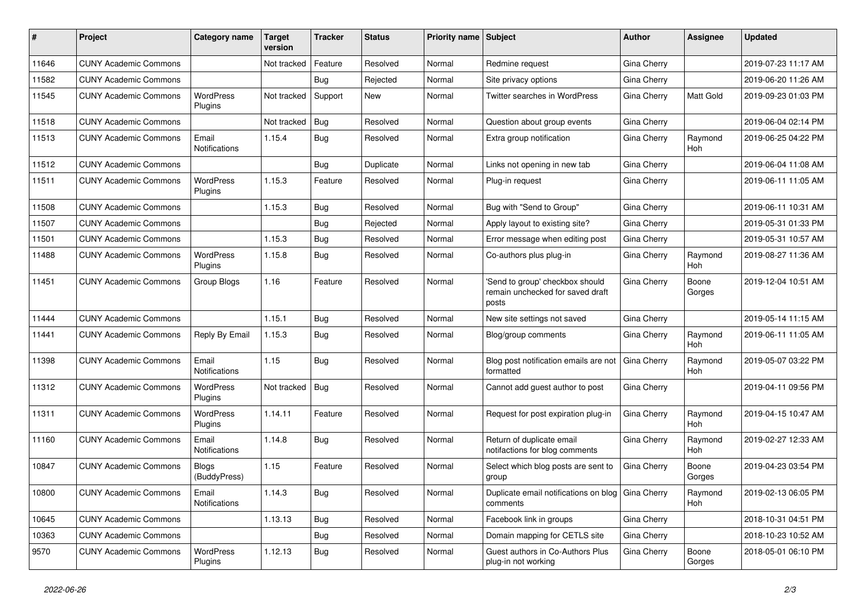| #     | Project                      | Category name                 | Target<br>version | <b>Tracker</b> | <b>Status</b> | Priority name Subject |                                                                              | Author             | Assignee              | Updated             |
|-------|------------------------------|-------------------------------|-------------------|----------------|---------------|-----------------------|------------------------------------------------------------------------------|--------------------|-----------------------|---------------------|
| 11646 | <b>CUNY Academic Commons</b> |                               | Not tracked       | Feature        | Resolved      | Normal                | Redmine request                                                              | Gina Cherry        |                       | 2019-07-23 11:17 AM |
| 11582 | <b>CUNY Academic Commons</b> |                               |                   | Bug            | Rejected      | Normal                | Site privacy options                                                         | Gina Cherry        |                       | 2019-06-20 11:26 AM |
| 11545 | <b>CUNY Academic Commons</b> | WordPress<br>Plugins          | Not tracked       | Support        | New           | Normal                | Twitter searches in WordPress                                                | Gina Cherry        | Matt Gold             | 2019-09-23 01:03 PM |
| 11518 | <b>CUNY Academic Commons</b> |                               | Not tracked       | Bug            | Resolved      | Normal                | Question about group events                                                  | <b>Gina Cherry</b> |                       | 2019-06-04 02:14 PM |
| 11513 | <b>CUNY Academic Commons</b> | Email<br>Notifications        | 1.15.4            | Bug            | Resolved      | Normal                | Extra group notification                                                     | Gina Cherry        | Raymond<br><b>Hoh</b> | 2019-06-25 04:22 PM |
| 11512 | <b>CUNY Academic Commons</b> |                               |                   | Bug            | Duplicate     | Normal                | Links not opening in new tab                                                 | Gina Cherry        |                       | 2019-06-04 11:08 AM |
| 11511 | <b>CUNY Academic Commons</b> | <b>WordPress</b><br>Plugins   | 1.15.3            | Feature        | Resolved      | Normal                | Plug-in request                                                              | Gina Cherry        |                       | 2019-06-11 11:05 AM |
| 11508 | <b>CUNY Academic Commons</b> |                               | 1.15.3            | <b>Bug</b>     | Resolved      | Normal                | Bug with "Send to Group"                                                     | Gina Cherry        |                       | 2019-06-11 10:31 AM |
| 11507 | <b>CUNY Academic Commons</b> |                               |                   | Bug            | Rejected      | Normal                | Apply layout to existing site?                                               | Gina Cherry        |                       | 2019-05-31 01:33 PM |
| 11501 | <b>CUNY Academic Commons</b> |                               | 1.15.3            | <b>Bug</b>     | Resolved      | Normal                | Error message when editing post                                              | Gina Cherry        |                       | 2019-05-31 10:57 AM |
| 11488 | <b>CUNY Academic Commons</b> | WordPress<br>Plugins          | 1.15.8            | Bug            | Resolved      | Normal                | Co-authors plus plug-in                                                      | Gina Cherry        | Raymond<br>Hoh        | 2019-08-27 11:36 AM |
| 11451 | <b>CUNY Academic Commons</b> | Group Blogs                   | 1.16              | Feature        | Resolved      | Normal                | 'Send to group' checkbox should<br>remain unchecked for saved draft<br>posts | Gina Cherry        | Boone<br>Gorges       | 2019-12-04 10:51 AM |
| 11444 | <b>CUNY Academic Commons</b> |                               | 1.15.1            | Bug            | Resolved      | Normal                | New site settings not saved                                                  | Gina Cherry        |                       | 2019-05-14 11:15 AM |
| 11441 | <b>CUNY Academic Commons</b> | Reply By Email                | 1.15.3            | Bug            | Resolved      | Normal                | Blog/group comments                                                          | Gina Cherry        | Raymond<br><b>Hoh</b> | 2019-06-11 11:05 AM |
| 11398 | <b>CUNY Academic Commons</b> | Email<br><b>Notifications</b> | 1.15              | Bug            | Resolved      | Normal                | Blog post notification emails are not<br>formatted                           | Gina Cherry        | Raymond<br>Hoh        | 2019-05-07 03:22 PM |
| 11312 | <b>CUNY Academic Commons</b> | <b>WordPress</b><br>Plugins   | Not tracked       | Bug            | Resolved      | Normal                | Cannot add guest author to post                                              | Gina Cherry        |                       | 2019-04-11 09:56 PM |
| 11311 | <b>CUNY Academic Commons</b> | WordPress<br>Plugins          | 1.14.11           | Feature        | Resolved      | Normal                | Request for post expiration plug-in                                          | Gina Cherry        | Raymond<br>Hoh        | 2019-04-15 10:47 AM |
| 11160 | <b>CUNY Academic Commons</b> | Email<br><b>Notifications</b> | 1.14.8            | Bug            | Resolved      | Normal                | Return of duplicate email<br>notifactions for blog comments                  | Gina Cherry        | Raymond<br>Hoh        | 2019-02-27 12:33 AM |
| 10847 | <b>CUNY Academic Commons</b> | <b>Blogs</b><br>(BuddyPress)  | 1.15              | Feature        | Resolved      | Normal                | Select which blog posts are sent to<br>group                                 | Gina Cherry        | Boone<br>Gorges       | 2019-04-23 03:54 PM |
| 10800 | <b>CUNY Academic Commons</b> | Email<br>Notifications        | 1.14.3            | Bug            | Resolved      | Normal                | Duplicate email notifications on blog   Gina Cherry<br>comments              |                    | Raymond<br>Hoh        | 2019-02-13 06:05 PM |
| 10645 | <b>CUNY Academic Commons</b> |                               | 1.13.13           | <b>Bug</b>     | Resolved      | Normal                | Facebook link in groups                                                      | Gina Cherry        |                       | 2018-10-31 04:51 PM |
| 10363 | <b>CUNY Academic Commons</b> |                               |                   | Bug            | Resolved      | Normal                | Domain mapping for CETLS site                                                | Gina Cherry        |                       | 2018-10-23 10:52 AM |
| 9570  | <b>CUNY Academic Commons</b> | WordPress<br>Plugins          | 1.12.13           | Bug            | Resolved      | Normal                | Guest authors in Co-Authors Plus<br>plug-in not working                      | Gina Cherry        | Boone<br>Gorges       | 2018-05-01 06:10 PM |